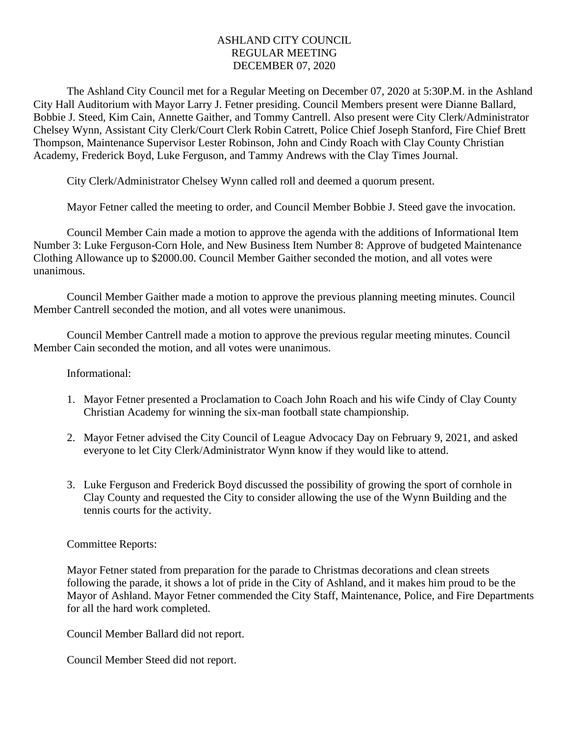## ASHLAND CITY COUNCIL REGULAR MEETING DECEMBER 07, 2020

The Ashland City Council met for a Regular Meeting on December 07, 2020 at 5:30P.M. in the Ashland City Hall Auditorium with Mayor Larry J. Fetner presiding. Council Members present were Dianne Ballard, Bobbie J. Steed, Kim Cain, Annette Gaither, and Tommy Cantrell. Also present were City Clerk/Administrator Chelsey Wynn, Assistant City Clerk/Court Clerk Robin Catrett, Police Chief Joseph Stanford, Fire Chief Brett Thompson, Maintenance Supervisor Lester Robinson, John and Cindy Roach with Clay County Christian Academy, Frederick Boyd, Luke Ferguson, and Tammy Andrews with the Clay Times Journal.

City Clerk/Administrator Chelsey Wynn called roll and deemed a quorum present.

Mayor Fetner called the meeting to order, and Council Member Bobbie J. Steed gave the invocation.

Council Member Cain made a motion to approve the agenda with the additions of Informational Item Number 3: Luke Ferguson-Corn Hole, and New Business Item Number 8: Approve of budgeted Maintenance Clothing Allowance up to \$2000.00. Council Member Gaither seconded the motion, and all votes were unanimous.

Council Member Gaither made a motion to approve the previous planning meeting minutes. Council Member Cantrell seconded the motion, and all votes were unanimous.

Council Member Cantrell made a motion to approve the previous regular meeting minutes. Council Member Cain seconded the motion, and all votes were unanimous.

Informational:

- 1. Mayor Fetner presented a Proclamation to Coach John Roach and his wife Cindy of Clay County Christian Academy for winning the six-man football state championship.
- 2. Mayor Fetner advised the City Council of League Advocacy Day on February 9, 2021, and asked everyone to let City Clerk/Administrator Wynn know if they would like to attend.
- 3. Luke Ferguson and Frederick Boyd discussed the possibility of growing the sport of cornhole in Clay County and requested the City to consider allowing the use of the Wynn Building and the tennis courts for the activity.

## Committee Reports:

Mayor Fetner stated from preparation for the parade to Christmas decorations and clean streets following the parade, it shows a lot of pride in the City of Ashland, and it makes him proud to be the Mayor of Ashland. Mayor Fetner commended the City Staff, Maintenance, Police, and Fire Departments for all the hard work completed.

Council Member Ballard did not report.

Council Member Steed did not report.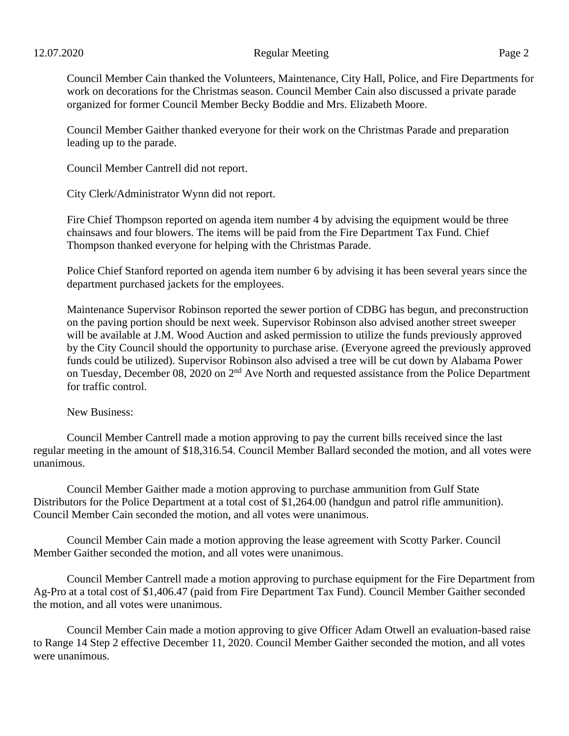## 12.07.2020 Page 2

Council Member Gaither thanked everyone for their work on the Christmas Parade and preparation leading up to the parade.

Council Member Cantrell did not report.

City Clerk/Administrator Wynn did not report.

Fire Chief Thompson reported on agenda item number 4 by advising the equipment would be three chainsaws and four blowers. The items will be paid from the Fire Department Tax Fund. Chief Thompson thanked everyone for helping with the Christmas Parade.

Police Chief Stanford reported on agenda item number 6 by advising it has been several years since the department purchased jackets for the employees.

Maintenance Supervisor Robinson reported the sewer portion of CDBG has begun, and preconstruction on the paving portion should be next week. Supervisor Robinson also advised another street sweeper will be available at J.M. Wood Auction and asked permission to utilize the funds previously approved by the City Council should the opportunity to purchase arise. (Everyone agreed the previously approved funds could be utilized). Supervisor Robinson also advised a tree will be cut down by Alabama Power on Tuesday, December 08, 2020 on 2<sup>nd</sup> Ave North and requested assistance from the Police Department for traffic control.

New Business:

Council Member Cantrell made a motion approving to pay the current bills received since the last regular meeting in the amount of \$18,316.54. Council Member Ballard seconded the motion, and all votes were unanimous.

Council Member Gaither made a motion approving to purchase ammunition from Gulf State Distributors for the Police Department at a total cost of \$1,264.00 (handgun and patrol rifle ammunition). Council Member Cain seconded the motion, and all votes were unanimous.

Council Member Cain made a motion approving the lease agreement with Scotty Parker. Council Member Gaither seconded the motion, and all votes were unanimous.

Council Member Cantrell made a motion approving to purchase equipment for the Fire Department from Ag-Pro at a total cost of \$1,406.47 (paid from Fire Department Tax Fund). Council Member Gaither seconded the motion, and all votes were unanimous.

Council Member Cain made a motion approving to give Officer Adam Otwell an evaluation-based raise to Range 14 Step 2 effective December 11, 2020. Council Member Gaither seconded the motion, and all votes were unanimous.